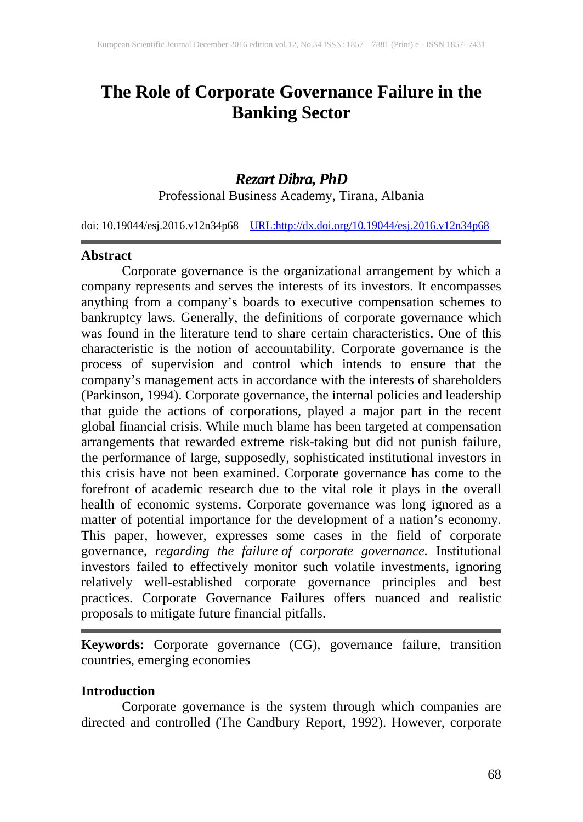# **The Role of Corporate Governance Failure in the Banking Sector**

# *Rezart Dibra, PhD*

Professional Business Academy, Tirana, Albania

doi: 10.19044/esj.2016.v12n34p68 [URL:http://dx.doi.org/10.19044/esj.2016.v12n34p68](http://dx.doi.org/10.19044/esj.2016.v12n34p68)

#### **Abstract**

Corporate governance is the organizational arrangement by which a company represents and serves the interests of its investors. It encompasses anything from a company's boards to executive compensation schemes to bankruptcy laws. Generally, the definitions of corporate governance which was found in the literature tend to share certain characteristics. One of this characteristic is the notion of accountability. Corporate governance is the process of supervision and control which intends to ensure that the company's management acts in accordance with the interests of shareholders (Parkinson, 1994). Corporate governance, the internal policies and leadership that guide the actions of corporations, played a major part in the recent global financial crisis. While much blame has been targeted at compensation arrangements that rewarded extreme risk-taking but did not punish failure, the performance of large, supposedly, sophisticated institutional investors in this crisis have not been examined. Corporate governance has come to the forefront of academic research due to the vital role it plays in the overall health of economic systems. Corporate governance was long ignored as a matter of potential importance for the development of a nation's economy. This paper, however, expresses some cases in the field of corporate governance, *regarding the failure of corporate governance.* Institutional investors failed to effectively monitor such volatile investments, ignoring relatively well-established corporate governance principles and best practices. Corporate Governance Failures offers nuanced and realistic proposals to mitigate future financial pitfalls.

**Keywords:** Corporate governance (CG), governance failure, transition countries, emerging economies

#### **Introduction**

Corporate governance is the system through which companies are directed and controlled (The Candbury Report, 1992). However, corporate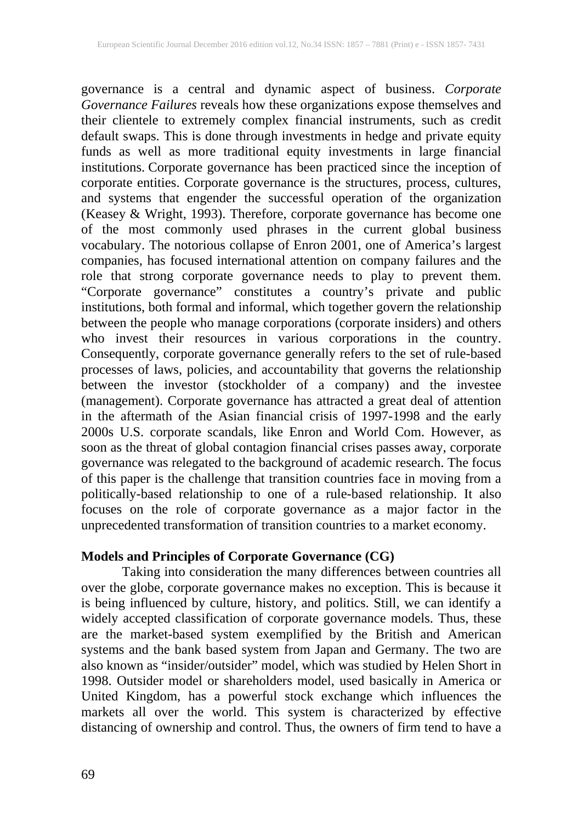governance is a central and dynamic aspect of business. *Corporate Governance Failures* reveals how these organizations expose themselves and their clientele to extremely complex financial instruments, such as credit default swaps. This is done through investments in hedge and private equity funds as well as more traditional equity investments in large financial institutions. Corporate governance has been practiced since the inception of corporate entities. Corporate governance is the structures, process, cultures, and systems that engender the successful operation of the organization (Keasey & Wright, 1993). Therefore, corporate governance has become one of the most commonly used phrases in the current global business vocabulary. The notorious collapse of Enron 2001, one of America's largest companies, has focused international attention on company failures and the role that strong corporate governance needs to play to prevent them. "Corporate governance" constitutes a country's private and public institutions, both formal and informal, which together govern the relationship between the people who manage corporations (corporate insiders) and others who invest their resources in various corporations in the country. Consequently, corporate governance generally refers to the set of rule-based processes of laws, policies, and accountability that governs the relationship between the investor (stockholder of a company) and the investee (management). Corporate governance has attracted a great deal of attention in the aftermath of the Asian financial crisis of 1997-1998 and the early 2000s U.S. corporate scandals, like Enron and World Com. However, as soon as the threat of global contagion financial crises passes away, corporate governance was relegated to the background of academic research. The focus of this paper is the challenge that transition countries face in moving from a politically-based relationship to one of a rule-based relationship. It also focuses on the role of corporate governance as a major factor in the unprecedented transformation of transition countries to a market economy.

## **Models and Principles of Corporate Governance (CG)**

Taking into consideration the many differences between countries all over the globe, corporate governance makes no exception. This is because it is being influenced by culture, history, and politics. Still, we can identify a widely accepted classification of corporate governance models. Thus, these are the market-based system exemplified by the British and American systems and the bank based system from Japan and Germany. The two are also known as "insider/outsider" model, which was studied by Helen Short in 1998. Outsider model or shareholders model, used basically in America or United Kingdom, has a powerful stock exchange which influences the markets all over the world. This system is characterized by effective distancing of ownership and control. Thus, the owners of firm tend to have a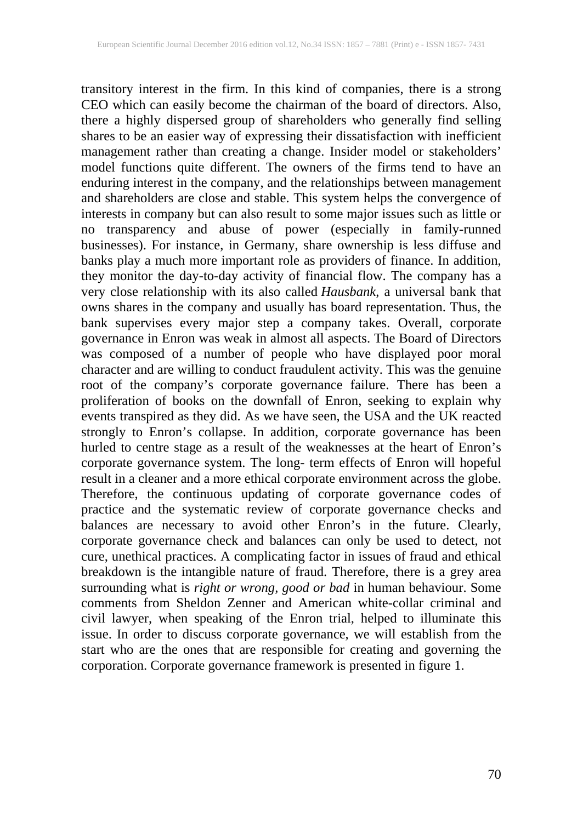transitory interest in the firm. In this kind of companies, there is a strong CEO which can easily become the chairman of the board of directors. Also, there a highly dispersed group of shareholders who generally find selling shares to be an easier way of expressing their dissatisfaction with inefficient management rather than creating a change. Insider model or stakeholders' model functions quite different. The owners of the firms tend to have an enduring interest in the company, and the relationships between management and shareholders are close and stable. This system helps the convergence of interests in company but can also result to some major issues such as little or no transparency and abuse of power (especially in family-runned businesses). For instance, in Germany, share ownership is less diffuse and banks play a much more important role as providers of finance. In addition, they monitor the day-to-day activity of financial flow. The company has a very close relationship with its also called *Hausbank*, a universal bank that owns shares in the company and usually has board representation. Thus, the bank supervises every major step a company takes. Overall, corporate governance in Enron was weak in almost all aspects. The Board of Directors was composed of a number of people who have displayed poor moral character and are willing to conduct fraudulent activity. This was the genuine root of the company's corporate governance failure. There has been a proliferation of books on the downfall of Enron, seeking to explain why events transpired as they did. As we have seen, the USA and the UK reacted strongly to Enron's collapse. In addition, corporate governance has been hurled to centre stage as a result of the weaknesses at the heart of Enron's corporate governance system. The long- term effects of Enron will hopeful result in a cleaner and a more ethical corporate environment across the globe. Therefore, the continuous updating of corporate governance codes of practice and the systematic review of corporate governance checks and balances are necessary to avoid other Enron's in the future. Clearly, corporate governance check and balances can only be used to detect, not cure, unethical practices. A complicating factor in issues of fraud and ethical breakdown is the intangible nature of fraud. Therefore, there is a grey area surrounding what is *right or wrong, good or bad* in human behaviour. Some comments from Sheldon Zenner and American white-collar criminal and civil lawyer, when speaking of the Enron trial, helped to illuminate this issue. In order to discuss corporate governance, we will establish from the start who are the ones that are responsible for creating and governing the corporation. Corporate governance framework is presented in figure 1.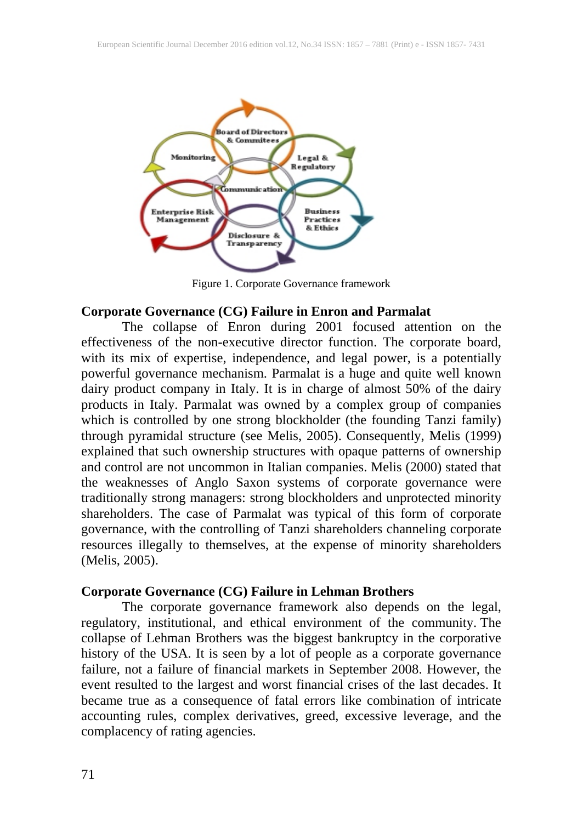

Figure 1. Corporate Governance framework

### **Corporate Governance (CG) Failure in Enron and Parmalat**

The collapse of Enron during 2001 focused attention on the effectiveness of the non-executive director function. The corporate board, with its mix of expertise, independence, and legal power, is a potentially powerful governance mechanism. Parmalat is a huge and quite well known dairy product company in Italy. It is in charge of almost 50% of the dairy products in Italy. Parmalat was owned by a complex group of companies which is controlled by one strong blockholder (the founding Tanzi family) through pyramidal structure (see Melis, 2005). Consequently, Melis (1999) explained that such ownership structures with opaque patterns of ownership and control are not uncommon in Italian companies. Melis (2000) stated that the weaknesses of Anglo Saxon systems of corporate governance were traditionally strong managers: strong blockholders and unprotected minority shareholders. The case of Parmalat was typical of this form of corporate governance, with the controlling of Tanzi shareholders channeling corporate resources illegally to themselves, at the expense of minority shareholders (Melis, 2005).

### **Corporate Governance (CG) Failure in Lehman Brothers**

The corporate governance framework also depends on the legal, regulatory, institutional, and ethical environment of the community. The collapse of Lehman Brothers was the biggest bankruptcy in the corporative history of the USA. It is seen by a lot of people as a corporate governance failure, not a failure of financial markets in September 2008. However, the event resulted to the largest and worst financial crises of the last decades. It became true as a consequence of fatal errors like combination of intricate accounting rules, complex derivatives, greed, excessive leverage, and the complacency of rating agencies.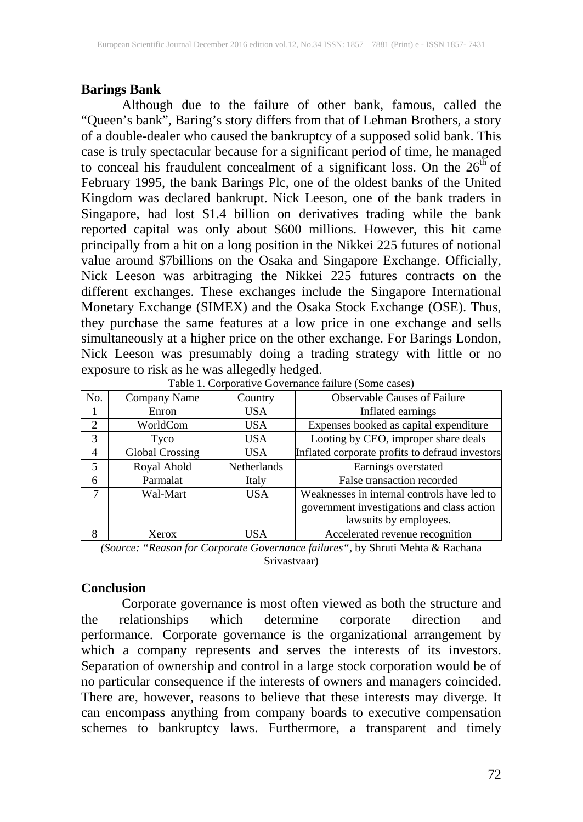# **Barings Bank**

Although due to the failure of other bank, famous, called the "Queen's bank", Baring's story differs from that of Lehman Brothers, a story of a double-dealer who caused the bankruptcy of a supposed solid bank. This case is truly spectacular because for a significant period of time, he managed to conceal his fraudulent concealment of a significant loss. On the  $26<sup>th</sup>$  of February 1995, the bank Barings Plc, one of the oldest banks of the United Kingdom was declared bankrupt. Nick Leeson, one of the bank traders in Singapore, had lost \$1.4 billion on derivatives trading while the bank reported capital was only about \$600 millions. However, this hit came principally from a hit on a long position in the Nikkei 225 futures of notional value around \$7billions on the Osaka and Singapore Exchange. Officially, Nick Leeson was arbitraging the Nikkei 225 futures contracts on the different exchanges. These exchanges include the Singapore International Monetary Exchange (SIMEX) and the Osaka Stock Exchange (OSE). Thus, they purchase the same features at a low price in one exchange and sells simultaneously at a higher price on the other exchange. For Barings London, Nick Leeson was presumably doing a trading strategy with little or no exposure to risk as he was allegedly hedged.

| No.            | Company Name           | Country     | <b>Observable Causes of Failure</b>             |
|----------------|------------------------|-------------|-------------------------------------------------|
|                | Enron                  | <b>USA</b>  | Inflated earnings                               |
| $\mathfrak{D}$ | WorldCom               | USA.        | Expenses booked as capital expenditure          |
| 3              | Tyco                   | USA.        | Looting by CEO, improper share deals            |
| 4              | <b>Global Crossing</b> | <b>USA</b>  | Inflated corporate profits to defraud investors |
| 5              | Royal Ahold            | Netherlands | Earnings overstated                             |
| 6              | Parmalat               | Italy       | False transaction recorded                      |
| 7              | Wal-Mart               | <b>USA</b>  | Weaknesses in internal controls have led to     |
|                |                        |             | government investigations and class action      |
|                |                        |             | lawsuits by employees.                          |
| 8              | Xerox                  | USA         | Accelerated revenue recognition                 |
|                |                        |             |                                                 |

Table 1. Corporative Governance failure (Some cases)

## **Conclusion**

Corporate governance is most often viewed as both the structure and the relationships which determine corporate direction and performance. Corporate governance is the organizational arrangement by which a company represents and serves the interests of its investors. Separation of ownership and control in a large stock corporation would be of no particular consequence if the interests of owners and managers coincided. There are, however, reasons to believe that these interests may diverge. It can encompass anything from company boards to executive compensation schemes to bankruptcy laws. Furthermore, a transparent and timely

*<sup>(</sup>Source: "Reason for Corporate Governance failures",* by Shruti Mehta & Rachana Srivastvaar)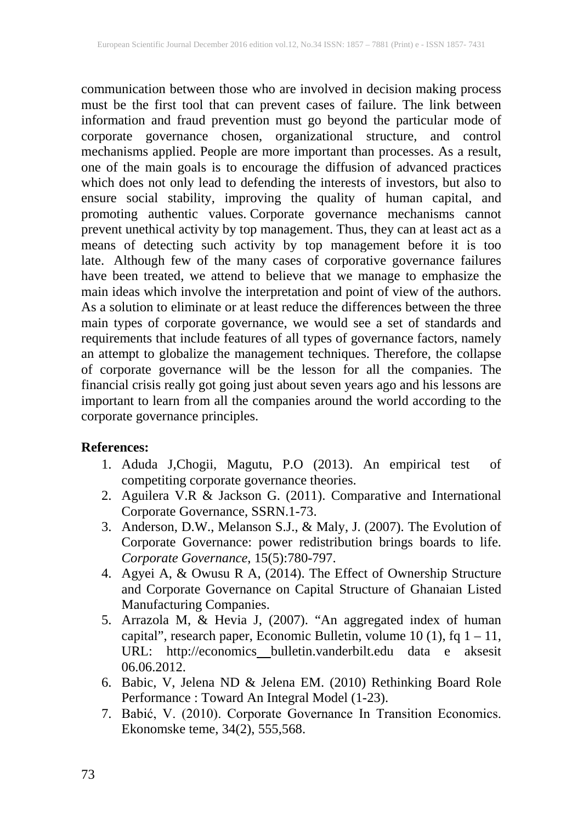communication between those who are involved in decision making process must be the first tool that can prevent cases of failure. The link between information and fraud prevention must go beyond the particular mode of corporate governance chosen, organizational structure, and control mechanisms applied. People are more important than processes. As a result, one of the main goals is to encourage the diffusion of advanced practices which does not only lead to defending the interests of investors, but also to ensure social stability, improving the quality of human capital, and promoting authentic values. Corporate governance mechanisms cannot prevent unethical activity by top management. Thus, they can at least act as a means of detecting such activity by top management before it is too late. Although few of the many cases of corporative governance failures have been treated, we attend to believe that we manage to emphasize the main ideas which involve the interpretation and point of view of the authors. As a solution to eliminate or at least reduce the differences between the three main types of corporate governance, we would see a set of standards and requirements that include features of all types of governance factors, namely an attempt to globalize the management techniques. Therefore, the collapse of corporate governance will be the lesson for all the companies. The financial crisis really got going just about seven years ago and his lessons are important to learn from all the companies around the world according to the corporate governance principles.

#### **References:**

- 1. Aduda J,Chogii, Magutu, P.O (2013). An empirical test of competiting corporate governance theories.
- 2. Aguilera V.R & Jackson G. (2011). Comparative and International Corporate Governance, SSRN.1-73.
- 3. Anderson, D.W., Melanson S.J., & Maly, J. (2007). The Evolution of Corporate Governance: power redistribution brings boards to life. *Corporate Governance*, 15(5):780-797.
- 4. Agyei A, & Owusu R A, (2014). The Effect of Ownership Structure and Corporate Governance on Capital Structure of Ghanaian Listed Manufacturing Companies.
- 5. Arrazola M, & Hevia J, (2007). "An aggregated index of human capital", research paper, Economic Bulletin, volume  $10(1)$ , fq  $1 - 11$ , URL: http://economics bulletin.vanderbilt.edu data e aksesit 06.06.2012.
- 6. Babic, V, Jelena ND & Jelena EM. (2010) Rethinking Board Role Performance : Toward An Integral Model (1-23).
- 7. Babić, V. (2010). Corporate Governance In Transition Economics. Ekonomske teme, 34(2), 555,568.